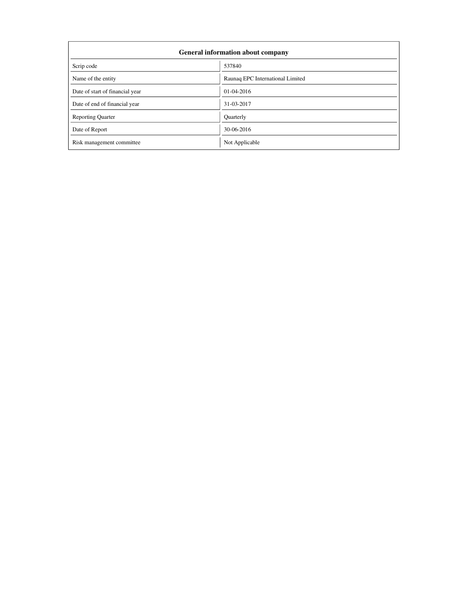| <b>General information about company</b> |                                  |  |  |  |
|------------------------------------------|----------------------------------|--|--|--|
| Scrip code                               | 537840                           |  |  |  |
| Name of the entity                       | Raunaq EPC International Limited |  |  |  |
| Date of start of financial year          | 01-04-2016                       |  |  |  |
| Date of end of financial year            | 31-03-2017                       |  |  |  |
| <b>Reporting Quarter</b>                 | Quarterly                        |  |  |  |
| Date of Report                           | 30-06-2016                       |  |  |  |
| Risk management committee                | Not Applicable                   |  |  |  |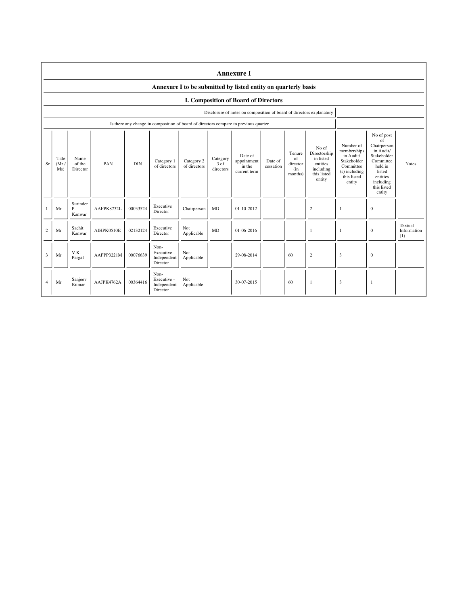|                | <b>Annexure I</b>                                              |                            |            |            |                                                                                      |                            |                               |                                                                      |                      |                                            |                                                                                      |                                                                                                             |                                                                                                                                                 |                               |
|----------------|----------------------------------------------------------------|----------------------------|------------|------------|--------------------------------------------------------------------------------------|----------------------------|-------------------------------|----------------------------------------------------------------------|----------------------|--------------------------------------------|--------------------------------------------------------------------------------------|-------------------------------------------------------------------------------------------------------------|-------------------------------------------------------------------------------------------------------------------------------------------------|-------------------------------|
|                | Annexure I to be submitted by listed entity on quarterly basis |                            |            |            |                                                                                      |                            |                               |                                                                      |                      |                                            |                                                                                      |                                                                                                             |                                                                                                                                                 |                               |
|                | I. Composition of Board of Directors                           |                            |            |            |                                                                                      |                            |                               |                                                                      |                      |                                            |                                                                                      |                                                                                                             |                                                                                                                                                 |                               |
|                |                                                                |                            |            |            |                                                                                      |                            |                               | Disclosure of notes on composition of board of directors explanatory |                      |                                            |                                                                                      |                                                                                                             |                                                                                                                                                 |                               |
|                |                                                                |                            |            |            | Is there any change in composition of board of directors compare to previous quarter |                            |                               |                                                                      |                      |                                            |                                                                                      |                                                                                                             |                                                                                                                                                 |                               |
| <b>Sr</b>      | Title<br>(Mr)<br>Ms)                                           | Name<br>of the<br>Director | PAN        | <b>DIN</b> | Category 1<br>of directors                                                           | Category 2<br>of directors | Category<br>3 of<br>directors | Date of<br>appointment<br>in the<br>current term                     | Date of<br>cessation | Tenure<br>of<br>director<br>(in<br>months) | No of<br>Directorship<br>in listed<br>entities<br>including<br>this listed<br>entity | Number of<br>memberships<br>in Audit/<br>Stakeholder<br>Committee<br>(s) including<br>this listed<br>entity | No of post<br>of<br>Chairperson<br>in Audit/<br>Stakeholder<br>Committee<br>held in<br>listed<br>entities<br>including<br>this listed<br>entity | <b>Notes</b>                  |
|                | Mr                                                             | Surinder<br>Ρ.<br>Kanwar   | AAFPK8732L | 00033524   | Executive<br>Director                                                                | Chairperson                | <b>MD</b>                     | $01 - 10 - 2012$                                                     |                      |                                            | $\overline{c}$                                                                       | -1                                                                                                          | $\mathbf{0}$                                                                                                                                    |                               |
| $\overline{c}$ | Mr                                                             | Sachit<br>Kanwar           | AIHPK0510E | 02132124   | Executive<br>Director                                                                | Not<br>Applicable          | <b>MD</b>                     | $01 - 06 - 2016$                                                     |                      |                                            | -1                                                                                   | 1                                                                                                           | $\mathbf{0}$                                                                                                                                    | Textual<br>Information<br>(1) |
| 3              | Mr                                                             | V.K.<br>Pargal             | AAFPP3221M | 00076639   | Non-<br>Executive -<br>Independent<br>Director                                       | Not<br>Applicable          |                               | 29-08-2014                                                           |                      | 60                                         | $\overline{c}$                                                                       | 3                                                                                                           | $\mathbf{0}$                                                                                                                                    |                               |
| $\overline{A}$ | Mr                                                             | Sanjeev<br>Kumar           | AAJPK4762A | 00364416   | Non-<br>Executive -<br>Independent<br>Director                                       | Not<br>Applicable          |                               | 30-07-2015                                                           |                      | 60                                         | -1                                                                                   | 3                                                                                                           | 1                                                                                                                                               |                               |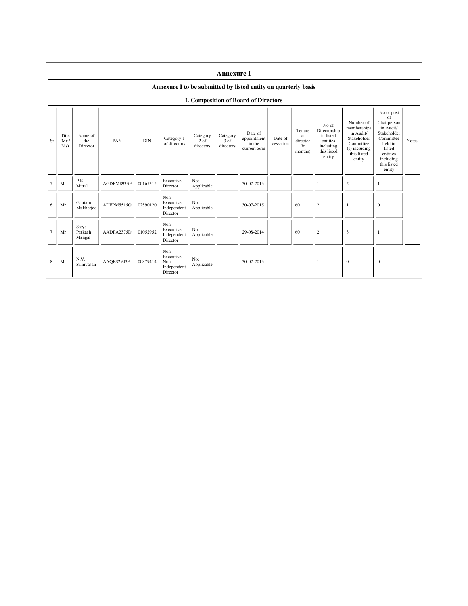|                | <b>Annexure I</b>                                              |                            |            |            |                                                       |                                 |                               |                                                  |                      |                                            |                                                                                      |                                                                                                             |                                                                                                                                                 |              |
|----------------|----------------------------------------------------------------|----------------------------|------------|------------|-------------------------------------------------------|---------------------------------|-------------------------------|--------------------------------------------------|----------------------|--------------------------------------------|--------------------------------------------------------------------------------------|-------------------------------------------------------------------------------------------------------------|-------------------------------------------------------------------------------------------------------------------------------------------------|--------------|
|                | Annexure I to be submitted by listed entity on quarterly basis |                            |            |            |                                                       |                                 |                               |                                                  |                      |                                            |                                                                                      |                                                                                                             |                                                                                                                                                 |              |
|                |                                                                |                            |            |            |                                                       |                                 |                               | I. Composition of Board of Directors             |                      |                                            |                                                                                      |                                                                                                             |                                                                                                                                                 |              |
| Sr             | Title<br>(Mr)<br>Ms)                                           | Name of<br>the<br>Director | PAN        | <b>DIN</b> | Category 1<br>of directors                            | Category<br>$2$ of<br>directors | Category<br>3 of<br>directors | Date of<br>appointment<br>in the<br>current term | Date of<br>cessation | Tenure<br>of<br>director<br>(in<br>months) | No of<br>Directorship<br>in listed<br>entities<br>including<br>this listed<br>entity | Number of<br>memberships<br>in Audit/<br>Stakeholder<br>Committee<br>(s) including<br>this listed<br>entity | No of post<br>of<br>Chairperson<br>in Audit/<br>Stakeholder<br>Committee<br>held in<br>listed<br>entities<br>including<br>this listed<br>entity | <b>Notes</b> |
| 5              | Mr                                                             | P.K.<br>Mittal             | AGDPM8933F | 00165315   | Executive<br>Director                                 | Not<br>Applicable               |                               | 30-07-2013                                       |                      |                                            | 1                                                                                    | 2                                                                                                           | 1                                                                                                                                               |              |
| 6              | Mr                                                             | Gautam<br>Mukherjee        | ADFPM5515Q | 02590120   | Non-<br>Executive -<br>Independent<br>Director        | Not<br>Applicable               |                               | 30-07-2015                                       |                      | 60                                         | $\mathfrak{2}$                                                                       | 1                                                                                                           | $\boldsymbol{0}$                                                                                                                                |              |
| $\overline{7}$ | Mr                                                             | Satya<br>Prakash<br>Mangal | AADPA2375D | 01052952   | Non-<br>Executive -<br>Independent<br>Director        | Not<br>Applicable               |                               | 29-08-2014                                       |                      | 60                                         | $\mathbf{2}$                                                                         | 3                                                                                                           | $\overline{1}$                                                                                                                                  |              |
| 8              | Mr                                                             | N.V.<br>Srinivasan         | AAQPS2943A | 00879414   | Non-<br>Executive -<br>Non<br>Independent<br>Director | Not<br>Applicable               |                               | 30-07-2013                                       |                      |                                            | 1                                                                                    | $\bf{0}$                                                                                                    | $\bf{0}$                                                                                                                                        |              |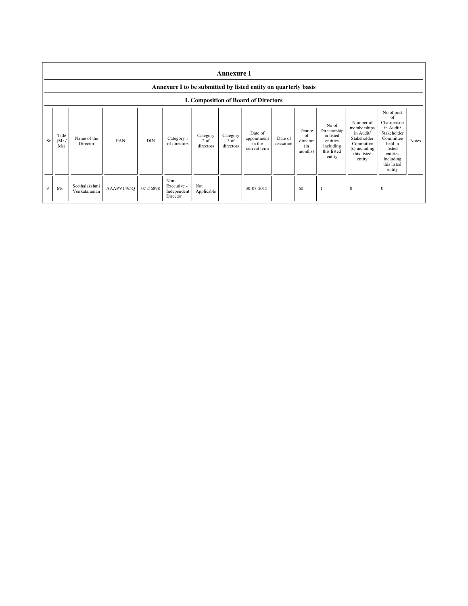|    | <b>Annexure I</b><br>Annexure I to be submitted by listed entity on quarterly basis |                               |            |            |                                                |                               |                               |                                                  |                      |                                            |                                                                                      |                                                                                                             |                                                                                                                                                 |              |
|----|-------------------------------------------------------------------------------------|-------------------------------|------------|------------|------------------------------------------------|-------------------------------|-------------------------------|--------------------------------------------------|----------------------|--------------------------------------------|--------------------------------------------------------------------------------------|-------------------------------------------------------------------------------------------------------------|-------------------------------------------------------------------------------------------------------------------------------------------------|--------------|
|    |                                                                                     |                               |            |            |                                                |                               |                               | <b>I. Composition of Board of Directors</b>      |                      |                                            |                                                                                      |                                                                                                             |                                                                                                                                                 |              |
| Sr | Title<br>(Mr)<br>Ms)                                                                | Name of the<br>Director       | PAN        | <b>DIN</b> | Category 1<br>of directors                     | Category<br>2 of<br>directors | Category<br>3 of<br>directors | Date of<br>appointment<br>in the<br>current term | Date of<br>cessation | Tenure<br>of<br>director<br>(in<br>months) | No of<br>Directorship<br>in listed<br>entities<br>including<br>this listed<br>entity | Number of<br>memberships<br>in Audit/<br>Stakeholder<br>Committee<br>(s) including<br>this listed<br>entity | No of post<br>of<br>Chairperson<br>in Audit/<br>Stakeholder<br>Committee<br>held in<br>listed<br>entities<br>including<br>this listed<br>entity | <b>Notes</b> |
| 9  | Ms                                                                                  | Seethalakshmi<br>Venkataraman | AAAPV1495Q | 07156898   | Non-<br>Executive -<br>Independent<br>Director | Not<br>Applicable             |                               | 30-07-2015                                       |                      | 60                                         | J.                                                                                   | $\bf{0}$                                                                                                    | $\theta$                                                                                                                                        |              |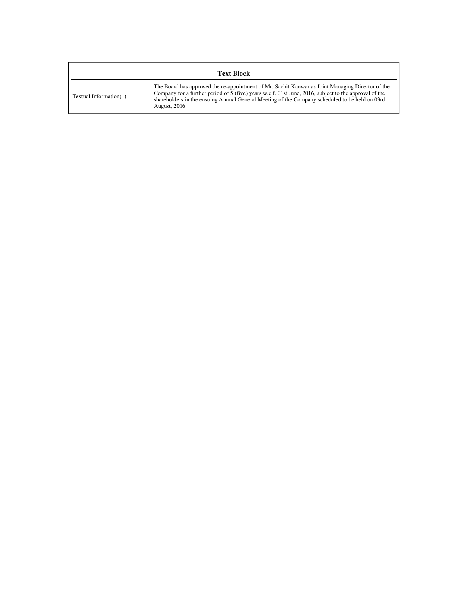| <b>Text Block</b>      |                                                                                                                                                                                                                                                                                                                                |  |  |  |  |  |
|------------------------|--------------------------------------------------------------------------------------------------------------------------------------------------------------------------------------------------------------------------------------------------------------------------------------------------------------------------------|--|--|--|--|--|
| Textual Information(1) | The Board has approved the re-appointment of Mr. Sachit Kanwar as Joint Managing Director of the<br>Company for a further period of $5$ (five) years w.e.f. 01st June, 2016, subject to the approval of the<br>shareholders in the ensuing Annual General Meeting of the Company scheduled to be held on 03rd<br>August, 2016. |  |  |  |  |  |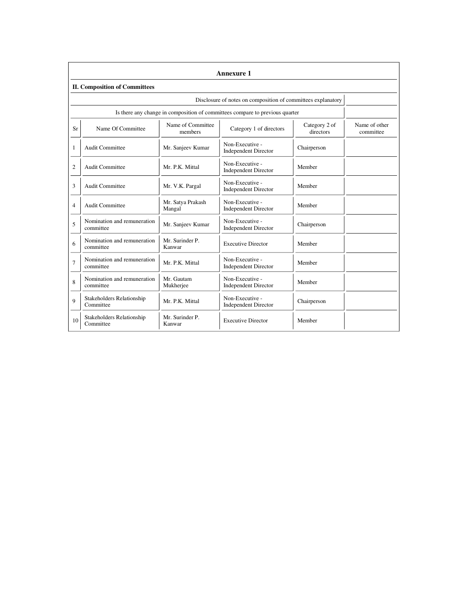|                | Annexure 1                                                   |                              |                                                                              |                            |                            |  |  |  |
|----------------|--------------------------------------------------------------|------------------------------|------------------------------------------------------------------------------|----------------------------|----------------------------|--|--|--|
|                | <b>II. Composition of Committees</b>                         |                              |                                                                              |                            |                            |  |  |  |
|                | Disclosure of notes on composition of committees explanatory |                              |                                                                              |                            |                            |  |  |  |
|                |                                                              |                              | Is there any change in composition of committees compare to previous quarter |                            |                            |  |  |  |
| Sr             | Name Of Committee                                            | Name of Committee<br>members | Category 1 of directors                                                      | Category 2 of<br>directors | Name of other<br>committee |  |  |  |
| $\mathbf{1}$   | Audit Committee                                              | Mr. Sanjeev Kumar            | Non-Executive -<br><b>Independent Director</b>                               | Chairperson                |                            |  |  |  |
| $\overline{2}$ | <b>Audit Committee</b>                                       | Mr. P.K. Mittal              | Non-Executive -<br><b>Independent Director</b>                               | Member                     |                            |  |  |  |
| 3              | Audit Committee                                              | Mr. V.K. Pargal              | Non-Executive -<br><b>Independent Director</b>                               | Member                     |                            |  |  |  |
| $\overline{4}$ | <b>Audit Committee</b>                                       | Mr. Satya Prakash<br>Mangal  | Non-Executive -<br><b>Independent Director</b>                               | Member                     |                            |  |  |  |
| 5              | Nomination and remuneration<br>committee                     | Mr. Sanjeev Kumar            | Non-Executive -<br><b>Independent Director</b>                               | Chairperson                |                            |  |  |  |
| 6              | Nomination and remuneration<br>committee                     | Mr. Surinder P.<br>Kanwar    | <b>Executive Director</b>                                                    | Member                     |                            |  |  |  |
| $\overline{7}$ | Nomination and remuneration<br>committee                     | Mr. P.K. Mittal              | Non-Executive -<br><b>Independent Director</b>                               | Member                     |                            |  |  |  |
| 8              | Nomination and remuneration<br>committee                     | Mr. Gautam<br>Mukherjee      | Non-Executive -<br><b>Independent Director</b>                               | Member                     |                            |  |  |  |
| 9              | Stakeholders Relationship<br>Committee                       | Mr. P.K. Mittal              | Non-Executive -<br><b>Independent Director</b>                               | Chairperson                |                            |  |  |  |
| 10             | Stakeholders Relationship<br>Committee                       | Mr. Surinder P.<br>Kanwar    | <b>Executive Director</b>                                                    | Member                     |                            |  |  |  |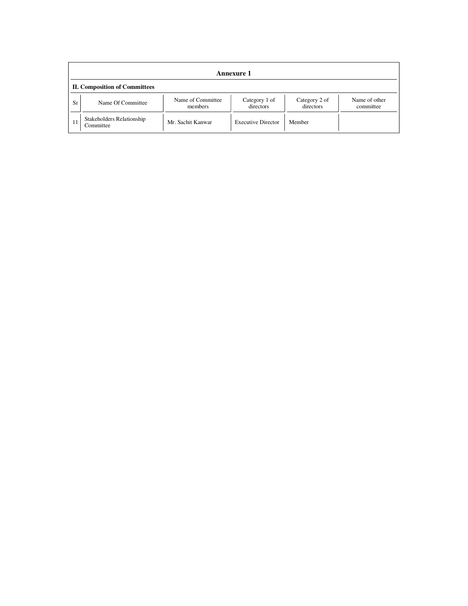|           | <b>Annexure 1</b>                      |                              |                            |                            |                            |  |  |  |
|-----------|----------------------------------------|------------------------------|----------------------------|----------------------------|----------------------------|--|--|--|
|           | <b>II. Composition of Committees</b>   |                              |                            |                            |                            |  |  |  |
| <b>Sr</b> | Name Of Committee                      | Name of Committee<br>members | Category 1 of<br>directors | Category 2 of<br>directors | Name of other<br>committee |  |  |  |
| 11        | Stakeholders Relationship<br>Committee | Mr. Sachit Kanwar            | <b>Executive Director</b>  | Member                     |                            |  |  |  |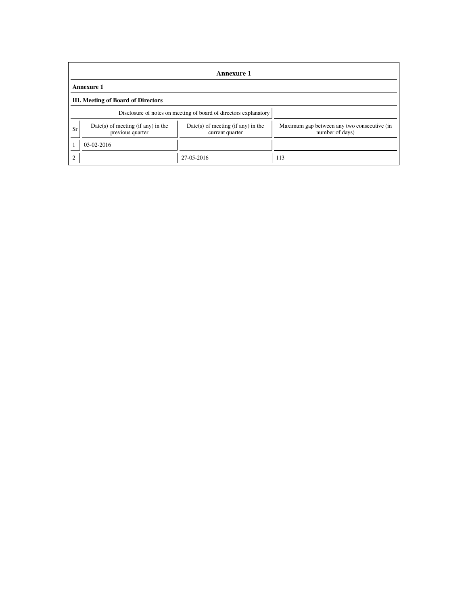|                                           | Annexure 1                                                       |                                                         |                                                                |  |  |  |  |
|-------------------------------------------|------------------------------------------------------------------|---------------------------------------------------------|----------------------------------------------------------------|--|--|--|--|
| <b>Annexure 1</b>                         |                                                                  |                                                         |                                                                |  |  |  |  |
| <b>III.</b> Meeting of Board of Directors |                                                                  |                                                         |                                                                |  |  |  |  |
|                                           | Disclosure of notes on meeting of board of directors explanatory |                                                         |                                                                |  |  |  |  |
| Sr                                        | $Date(s)$ of meeting (if any) in the<br>previous quarter         | $Date(s)$ of meeting (if any) in the<br>current quarter | Maximum gap between any two consecutive (in<br>number of days) |  |  |  |  |
|                                           | $03-02-2016$                                                     |                                                         |                                                                |  |  |  |  |
| 2                                         |                                                                  | 27-05-2016                                              | 113                                                            |  |  |  |  |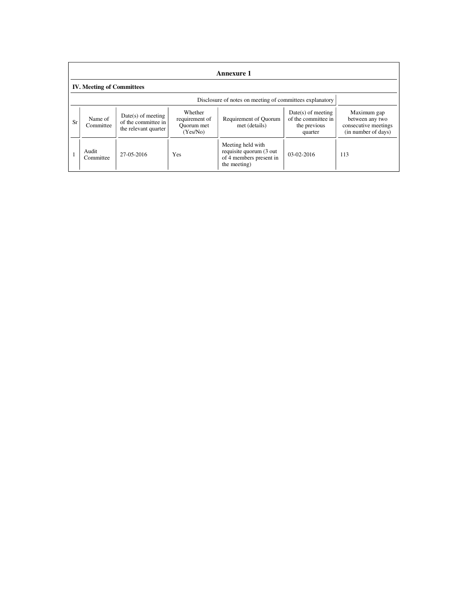|           | Annexure 1                                               |                                                                     |                                                     |                                                                                          |                                                                        |                                                                               |  |
|-----------|----------------------------------------------------------|---------------------------------------------------------------------|-----------------------------------------------------|------------------------------------------------------------------------------------------|------------------------------------------------------------------------|-------------------------------------------------------------------------------|--|
|           | <b>IV. Meeting of Committees</b>                         |                                                                     |                                                     |                                                                                          |                                                                        |                                                                               |  |
|           | Disclosure of notes on meeting of committees explanatory |                                                                     |                                                     |                                                                                          |                                                                        |                                                                               |  |
| <b>Sr</b> | Name of<br>Committee                                     | $Date(s)$ of meeting<br>of the committee in<br>the relevant quarter | Whether<br>requirement of<br>Ouorum met<br>(Yes/No) | Requirement of Quorum<br>met (details)                                                   | $Date(s)$ of meeting<br>of the committee in<br>the previous<br>quarter | Maximum gap<br>between any two<br>consecutive meetings<br>(in number of days) |  |
|           | Audit<br>Committee                                       | 27-05-2016                                                          | <b>Yes</b>                                          | Meeting held with<br>requisite quorum (3 out)<br>of 4 members present in<br>the meeting) | $03-02-2016$                                                           | 113                                                                           |  |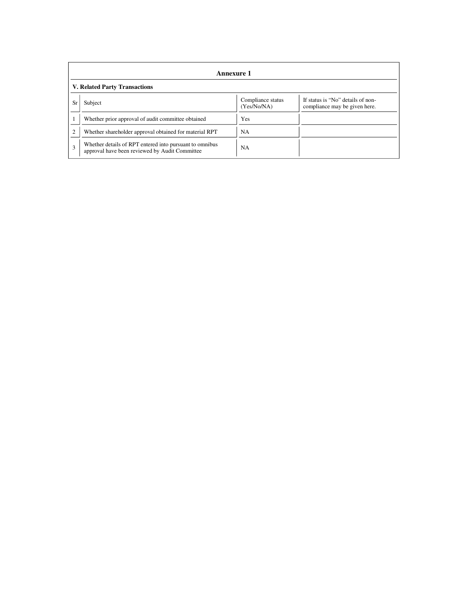|                | <b>Annexure 1</b>                                                                                         |                                  |                                                                    |  |  |  |  |
|----------------|-----------------------------------------------------------------------------------------------------------|----------------------------------|--------------------------------------------------------------------|--|--|--|--|
|                | <b>V. Related Party Transactions</b>                                                                      |                                  |                                                                    |  |  |  |  |
| Sr             | Subject                                                                                                   | Compliance status<br>(Yes/No/NA) | If status is "No" details of non-<br>compliance may be given here. |  |  |  |  |
|                | Whether prior approval of audit committee obtained                                                        | Yes                              |                                                                    |  |  |  |  |
| $\overline{c}$ | Whether shareholder approval obtained for material RPT                                                    | NA                               |                                                                    |  |  |  |  |
| $\mathbf{3}$   | Whether details of RPT entered into pursuant to omnibus<br>approval have been reviewed by Audit Committee | <b>NA</b>                        |                                                                    |  |  |  |  |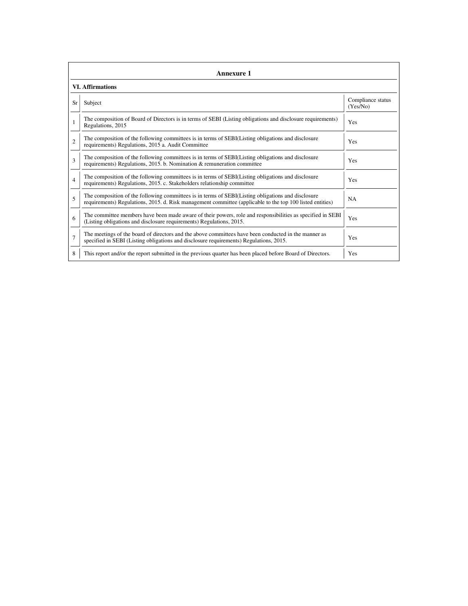|                | Annexure 1                                                                                                                                                                                                      |                               |  |  |  |  |  |
|----------------|-----------------------------------------------------------------------------------------------------------------------------------------------------------------------------------------------------------------|-------------------------------|--|--|--|--|--|
|                | <b>VI. Affirmations</b>                                                                                                                                                                                         |                               |  |  |  |  |  |
| Sr             | Subject                                                                                                                                                                                                         | Compliance status<br>(Yes/No) |  |  |  |  |  |
| 1              | The composition of Board of Directors is in terms of SEBI (Listing obligations and disclosure requirements)<br>Regulations, 2015                                                                                | Yes                           |  |  |  |  |  |
| $\overline{c}$ | The composition of the following committees is in terms of SEBI(Listing obligations and disclosure<br>requirements) Regulations, 2015 a. Audit Committee                                                        | Yes                           |  |  |  |  |  |
| 3              | The composition of the following committees is in terms of SEBI(Listing obligations and disclosure<br>requirements) Regulations, 2015. b. Nomination & remuneration committee                                   | Yes                           |  |  |  |  |  |
| $\overline{4}$ | The composition of the following committees is in terms of SEBI(Listing obligations and disclosure<br>requirements) Regulations, 2015. c. Stakeholders relationship committee                                   | Yes                           |  |  |  |  |  |
| 5              | The composition of the following committees is in terms of SEBI(Listing obligations and disclosure<br>requirements) Regulations, 2015. d. Risk management committee (applicable to the top 100 listed entities) | <b>NA</b>                     |  |  |  |  |  |
| 6              | The committee members have been made aware of their powers, role and responsibilities as specified in SEBI<br>(Listing obligations and disclosure requirements) Regulations, 2015.                              | Yes                           |  |  |  |  |  |
| $\overline{7}$ | The meetings of the board of directors and the above committees have been conducted in the manner as<br>specified in SEBI (Listing obligations and disclosure requirements) Regulations, 2015.                  | Yes                           |  |  |  |  |  |
| 8              | This report and/or the report submitted in the previous quarter has been placed before Board of Directors.                                                                                                      | Yes                           |  |  |  |  |  |

file://\\192.168.1.11\Secretarial\_Data\Lipika & Kaushal\Raunaq International Ltd\quarterly... 7/19/2016